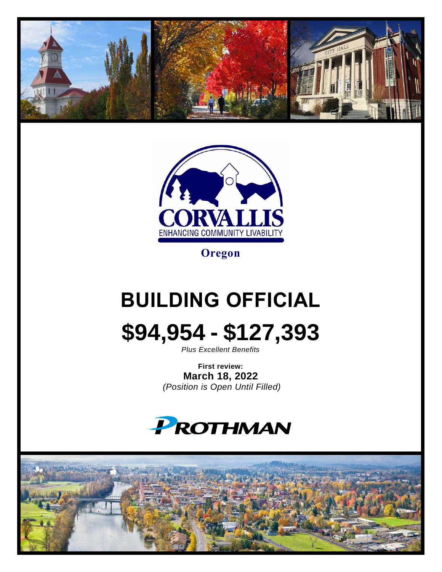



**Oregon**

# **BUILDING OFFICIAL**



*Plus Excellent Benefits*

**First review: March 18, 2022** *(Position is Open Until Filled)*



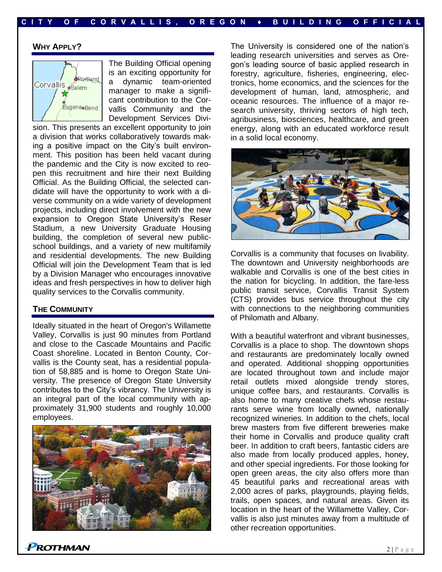#### **WHY APPLY?**



The Building Official opening is an exciting opportunity for a dynamic team-oriented manager to make a significant contribution to the Corvallis Community and the Development Services Divi-

sion. This presents an excellent opportunity to join a division that works collaboratively towards making a positive impact on the City's built environment. This position has been held vacant during the pandemic and the City is now excited to reopen this recruitment and hire their next Building Official. As the Building Official, the selected candidate will have the opportunity to work with a diverse community on a wide variety of development projects, including direct involvement with the new expansion to Oregon State University's Reser Stadium, a new University Graduate Housing building, the completion of several new publicschool buildings, and a variety of new multifamily and residential developments. The new Building Official will join the Development Team that is led by a Division Manager who encourages innovative ideas and fresh perspectives in how to deliver high quality services to the Corvallis community.

#### **THE COMMUNITY**

Ideally situated in the heart of Oregon's Willamette Valley, Corvallis is just 90 minutes from Portland and close to the Cascade Mountains and Pacific Coast shoreline. Located in Benton County, Corvallis is the County seat, has a residential population of 58,885 and is home to Oregon State University. The presence of Oregon State University contributes to the City's vibrancy. The University is an integral part of the local community with approximately 31,900 students and roughly 10,000 employees.



The University is considered one of the nation's leading research universities and serves as Oregon's leading source of basic applied research in forestry, agriculture, fisheries, engineering, electronics, home economics, and the sciences for the development of human, land, atmospheric, and oceanic resources. The influence of a major research university, thriving sectors of high tech, agribusiness, biosciences, healthcare, and green energy, along with an educated workforce result in a solid local economy.



Corvallis is a community that focuses on livability. The downtown and University neighborhoods are walkable and Corvallis is one of the best cities in the nation for bicycling. In addition, the fare-less public transit service, Corvallis Transit System (CTS) provides bus service throughout the city with connections to the neighboring communities of Philomath and Albany.

With a beautiful waterfront and vibrant businesses, Corvallis is a place to shop. The downtown shops and restaurants are predominately locally owned and operated. Additional shopping opportunities are located throughout town and include major retail outlets mixed alongside trendy stores, unique coffee bars, and restaurants. Corvallis is also home to many creative chefs whose restaurants serve wine from locally owned, nationally recognized wineries. In addition to the chefs, local brew masters from five different breweries make their home in Corvallis and produce quality craft beer. In addition to craft beers, fantastic ciders are also made from locally produced apples, honey, and other special ingredients. For those looking for open green areas, the city also offers more than 45 beautiful parks and recreational areas with 2,000 acres of parks, playgrounds, playing fields, trails, open spaces, and natural areas. Given its location in the heart of the Willamette Valley, Corvallis is also just minutes away from a multitude of other recreation opportunities.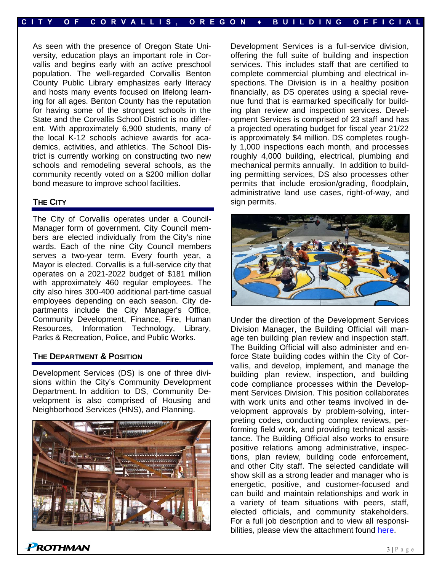As seen with the presence of Oregon State University, education plays an important role in Corvallis and begins early with an active preschool population. The well-regarded Corvallis Benton County Public Library emphasizes early literacy and hosts many events focused on lifelong learning for all ages. Benton County has the reputation for having some of the strongest schools in the State and the Corvallis School District is no different. With approximately 6,900 students, many of the local K-12 schools achieve awards for academics, activities, and athletics. The School District is currently working on constructing two new schools and remodeling several schools, as the community recently voted on a \$200 million dollar bond measure to improve school facilities.

#### **THE CITY**

The City of Corvallis operates under a Council-Manager form of government. City Council members are elected individually from the City's nine wards. Each of the nine City Council members serves a two-year term. Every fourth year, a Mayor is elected. Corvallis is a full-service city that operates on a 2021-2022 budget of \$181 million with approximately 460 regular employees. The city also hires 300-400 additional part-time casual employees depending on each season. City departments include the City Manager's Office, Community Development, Finance, Fire, Human Resources, Information Technology, Library, Parks & Recreation, Police, and Public Works.

#### **THE DEPARTMENT & POSITION**

**ROTHMAN** 

Development Services (DS) is one of three divisions within the City's Community Development Department. In addition to DS, Community Development is also comprised of Housing and Neighborhood Services (HNS), and Planning.



Development Services is a full-service division, offering the full suite of building and inspection services. This includes staff that are certified to complete commercial plumbing and electrical inspections. The Division is in a healthy position financially, as DS operates using a special revenue fund that is earmarked specifically for building plan review and inspection services. Development Services is comprised of 23 staff and has a projected operating budget for fiscal year 21/22 is approximately \$4 million. DS completes roughly 1,000 inspections each month, and processes roughly 4,000 building, electrical, plumbing and mechanical permits annually. In addition to building permitting services, DS also processes other permits that include erosion/grading, floodplain, administrative land use cases, right-of-way, and sign permits.



Under the direction of the Development Services Division Manager, the Building Official will manage ten building plan review and inspection staff. The Building Official will also administer and enforce State building codes within the City of Corvallis, and develop, implement, and manage the building plan review, inspection, and building code compliance processes within the Development Services Division. This position collaborates with work units and other teams involved in development approvals by problem-solving, interpreting codes, conducting complex reviews, performing field work, and providing technical assistance. The Building Official also works to ensure positive relations among administrative, inspections, plan review, building code enforcement, and other City staff. The selected candidate will show skill as a strong leader and manager who is energetic, positive, and customer-focused and can build and maintain relationships and work in a variety of team situations with peers, staff, elected officials, and community stakeholders. For a full job description and to view all responsibilities, please view the attachment found [here.](https://prothman.com/JobFiles/2884/Building%20Official%20Job%20Description.pdf)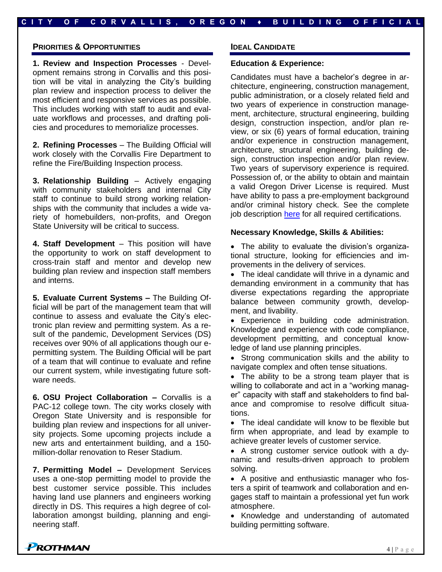#### **PRIORITIES & OPPORTUNITIES**

**1. Review and Inspection Processes** - Development remains strong in Corvallis and this position will be vital in analyzing the City's building plan review and inspection process to deliver the most efficient and responsive services as possible. This includes working with staff to audit and evaluate workflows and processes, and drafting policies and procedures to memorialize processes.

**2. Refining Processes** – The Building Official will work closely with the Corvallis Fire Department to refine the Fire/Building Inspection process.

**3. Relationship Building** – Actively engaging with community stakeholders and internal City staff to continue to build strong working relationships with the community that includes a wide variety of homebuilders, non-profits, and Oregon State University will be critical to success.

**4. Staff Development** – This position will have the opportunity to work on staff development to cross-train staff and mentor and develop new building plan review and inspection staff members and interns.

**5. Evaluate Current Systems –** The Building Official will be part of the management team that will continue to assess and evaluate the City's electronic plan review and permitting system. As a result of the pandemic, Development Services (DS) receives over 90% of all applications though our epermitting system. The Building Official will be part of a team that will continue to evaluate and refine our current system, while investigating future software needs.

**6. OSU Project Collaboration –** Corvallis is a PAC-12 college town. The city works closely with Oregon State University and is responsible for building plan review and inspections for all university projects. Some upcoming projects include a new arts and entertainment building, and a 150 million-dollar renovation to Reser Stadium.

**7. Permitting Model –** Development Services uses a one-stop permitting model to provide the best customer service possible. This includes having land use planners and engineers working directly in DS. This requires a high degree of collaboration amongst building, planning and engineering staff.

#### **IDEAL CANDIDATE**

**C I T Y O F C O R V A L L I S , O R E G O N ♦ B U I L D I N G O F F I C I A L**

#### **Education & Experience:**

Candidates must have a bachelor's degree in architecture, engineering, construction management, public administration, or a closely related field and two years of experience in construction management, architecture, structural engineering, building design, construction inspection, and/or plan review, or six (6) years of formal education, training and/or experience in construction management, architecture, structural engineering, building design, construction inspection and/or plan review. Two years of supervisory experience is required. Possession of, or the ability to obtain and maintain a valid Oregon Driver License is required. Must have ability to pass a pre-employment background and/or criminal history check. See the complete job description [here](https://prothman.com/JobFiles/2884/Building%20Official%20Job%20Description.pdf) for all required certifications.

#### **Necessary Knowledge, Skills & Abilities:**

• The ability to evaluate the division's organizational structure, looking for efficiencies and improvements in the delivery of services.

• The ideal candidate will thrive in a dynamic and demanding environment in a community that has diverse expectations regarding the appropriate balance between community growth, development, and livability.

• Experience in building code administration. Knowledge and experience with code compliance, development permitting, and conceptual knowledge of land use planning principles.

• Strong communication skills and the ability to navigate complex and often tense situations.

• The ability to be a strong team player that is willing to collaborate and act in a "working manager" capacity with staff and stakeholders to find balance and compromise to resolve difficult situations.

• The ideal candidate will know to be flexible but firm when appropriate, and lead by example to achieve greater levels of customer service.

• A strong customer service outlook with a dynamic and results-driven approach to problem solving.

• A positive and enthusiastic manager who fosters a spirit of teamwork and collaboration and engages staff to maintain a professional yet fun work atmosphere.

• Knowledge and understanding of automated building permitting software.